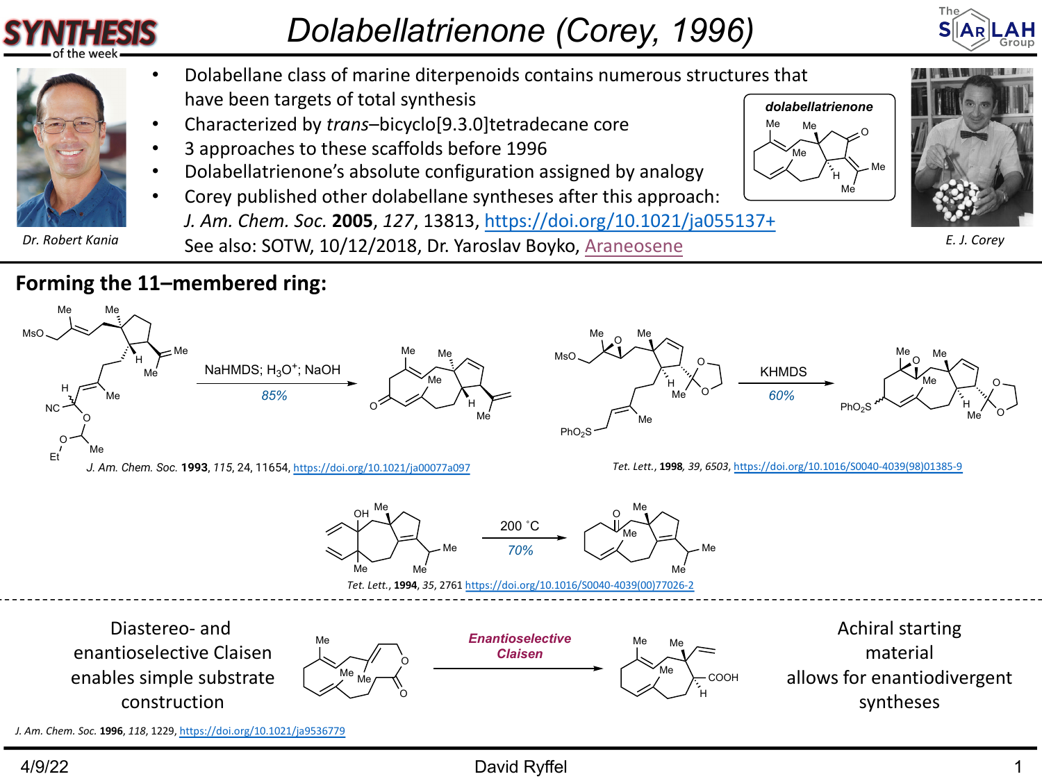## *Dolabellatrienone (Corey, 1996)*

Me

H Me Me

O

Me Me



- Dolabellane class of marine diterpenoids contains numerous structures that have been ta[rgets of total synthesis](https://doi.org/10.1021/ja00077a097) *[dolabellatrienone](https://doi.org/10.1016/S0040-4039(98)01385-9)*
- Characterized by *trans*–bicyclo[9.3.0]tetradecane core
- 3 approaches to these scaffolds before 1996
- Dolabellatrienone's absolute configuration assigned by analogy
- Corey published other dolabellane syntheses after this approach:
- *J. Am. Chem. Soc.* **2005**, *127*, 1381[3, https://doi.org/10.1021/ja](https://doi.org/10.1016/S0040-4039(00)77026-2)055137+ Dr. Robert Kania **B. S. S. S. A. S. S. S. S. S. S. S. S. E. 2018, Dr. Yaroslav Boyko,** Araneosene

## **Forming the 11–membered ring:**